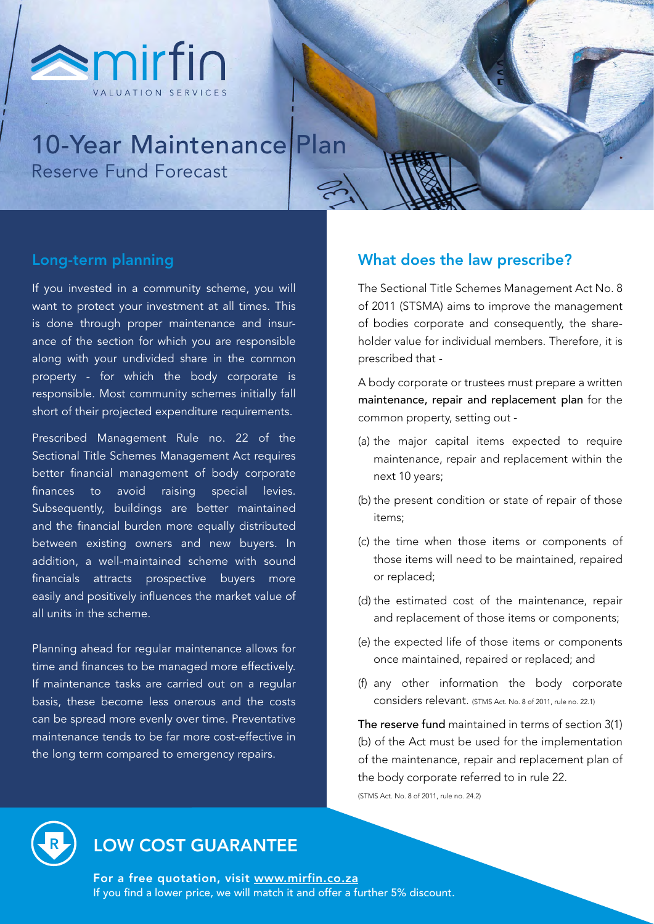

# 10-Year Maintenance Plan Reserve Fund Forecast

### Long-term planning

If you invested in a community scheme, you will want to protect your investment at all times. This is done through proper maintenance and insurance of the section for which you are responsible along with your undivided share in the common property - for which the body corporate is responsible. Most community schemes initially fall short of their projected expenditure requirements.

Prescribed Management Rule no. 22 of the Sectional Title Schemes Management Act requires better financial management of body corporate finances to avoid raising special levies. Subsequently, buildings are better maintained and the financial burden more equally distributed between existing owners and new buyers. In addition, a well-maintained scheme with sound financials attracts prospective buyers more easily and positively influences the market value of all units in the scheme.

Planning ahead for regular maintenance allows for time and finances to be managed more effectively. If maintenance tasks are carried out on a regular basis, these become less onerous and the costs can be spread more evenly over time. Preventative maintenance tends to be far more cost-effective in the long term compared to emergency repairs.

#### What does the law prescribe?

The Sectional Title Schemes Management Act No. 8 of 2011 (STSMA) aims to improve the management of bodies corporate and consequently, the shareholder value for individual members. Therefore, it is prescribed that -

A body corporate or trustees must prepare a written maintenance, repair and replacement plan for the common property, setting out -

- (a) the major capital items expected to require maintenance, repair and replacement within the next 10 years;
- (b) the present condition or state of repair of those items;
- (c) the time when those items or components of those items will need to be maintained, repaired or replaced;
- (d) the estimated cost of the maintenance, repair and replacement of those items or components;
- (e) the expected life of those items or components once maintained, repaired or replaced; and
- (f) any other information the body corporate considers relevant. (STMS Act. No. 8 of 2011, rule no. 22.1)

The reserve fund maintained in terms of section 3(1) (b) of the Act must be used for the implementation of the maintenance, repair and replacement plan of the body corporate referred to in rule 22.

(STMS Act. No. 8 of 2011, rule no. 24.2)



## LOW COST GUARANTEE

For a free quotation, visit [www.mirfin.co.za](http://www.mirfin.co.za) If you find a lower price, we will match it and offer a further 5% discount.